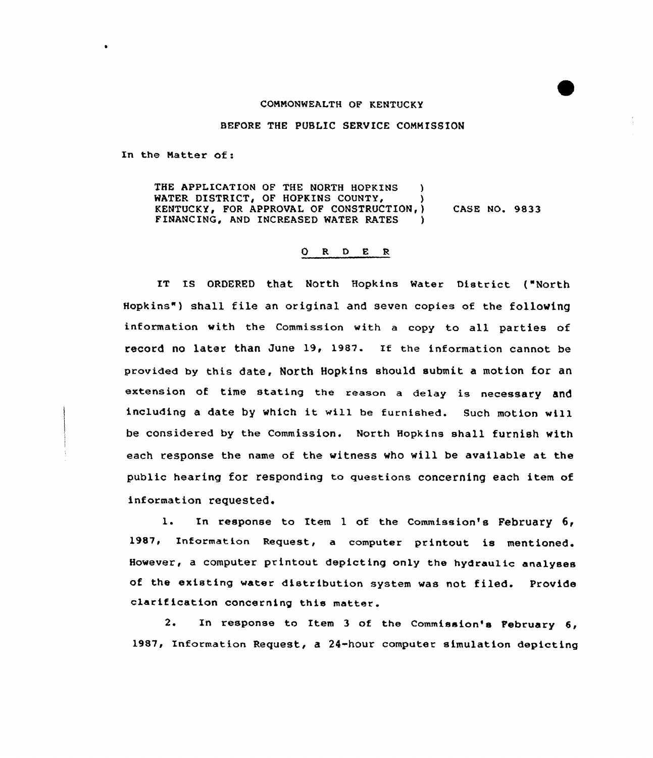## COMMONWEALTH OF KENTUCKY

BEFORE THE PUBLIC SERVICE COMMISSION

In the Natter of:

THE APPLICATION OF THE NORTH HOPKINS ) WATER DISTRICT, OF HOPKINS COUNTY, KENTUCKY, FOR APPROVAL OF CONSTRUCTION, ) CASE NO. 9833 FINANCING, AND INCREASED WATER RATES

## O R D E R

IT IS ORDERED that North Hopkins Water District ("North Hopkins" ) shall file an original and seven copies of the following information with the Commission with a copy to all parties of record no later than June 19, 1987. If the information cannot be provided by this date, North Hopkins should submit a motion for an extension of time stating the reason a delay is necessary and including <sup>a</sup> date by which it will be furnished. Such motion will be considered by the Commission. North Hopkins shall furnish with each response the name of the witness who will be available at the public hearing for responding to questions concerning each item of information requested.

l. In response to Item <sup>1</sup> of the Commission's February 6, 1987, Information Request, a computer printout is However, a computer printout depicting only the hydraulic analyses of the existing water distribution system was not filed. Provide clarif ication concerning this matter.

2. In response to Item 3 of the Commission's February 6, 1987, Information Request, a 24-hour computer simulation depicting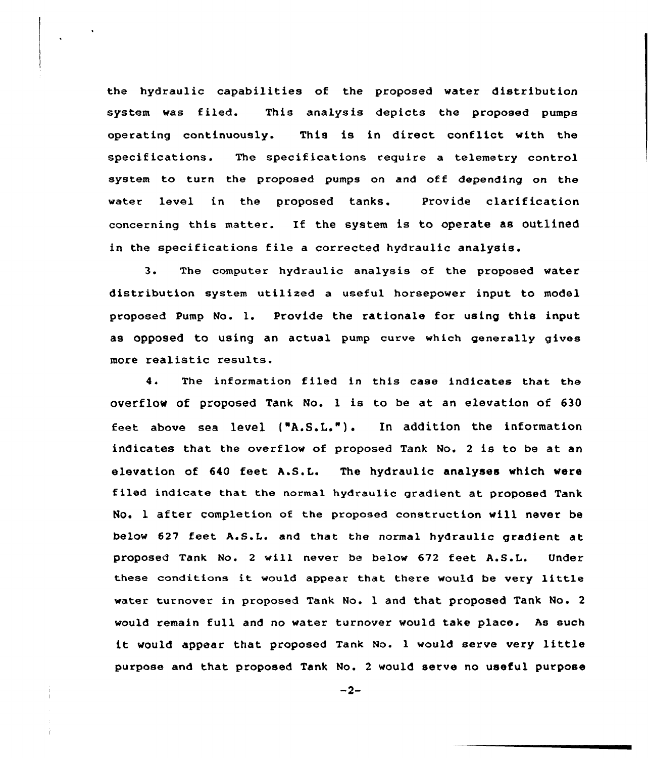the hydraulic capabilities of the proposed water distribution system was filed. This analysis depicts the proposed pumps operating continuously. This is in direct conflict with the specifications. The specifications require a telemetry control system to turn the proposed pumps on and off depending on the water level in the proposed tanks. Provide clarification concerning this matter. If the system is to operate as outlined in the specifications file <sup>a</sup> corrected hydraulic analysis.

3. The computer hydraulic analysis of the proposed water distribution system utilized a useful horsepower input to model proposed Pump No. 1. Provide the rationale for using this input as OppoSed to using an actual pump curve which generally gives more realistic results.

4. The information filed in this case indicates that the overflow of proposed Tank No. <sup>1</sup> is to be at an elevation of 630 Eeet above sea level f"A.S.L."). In addition the information indicates that the overflow of proposed Tank No. <sup>2</sup> is to be at an elevation of 640 feet A.S.L. The hydraulic analyses which were tiled indicate that the normal hydraulic gradient at proposed Tank No. 1 after completion of the proposed construction will never be below 627 feet A.GAL. and that the normal hydraulic gradient at proposed Tank No. 2 will never be below 672 feet A.S.L. Under these conditions it would appear that there would be very little water turnover in proposed Tank No. 1 and that proposed Tank No. <sup>2</sup> would remain full and no water turnover would take place. As such it would appear that proposed Tank No. <sup>1</sup> would serve very little purpose and that proposed Tank No. 2 would serve no useful purpose

 $-2-$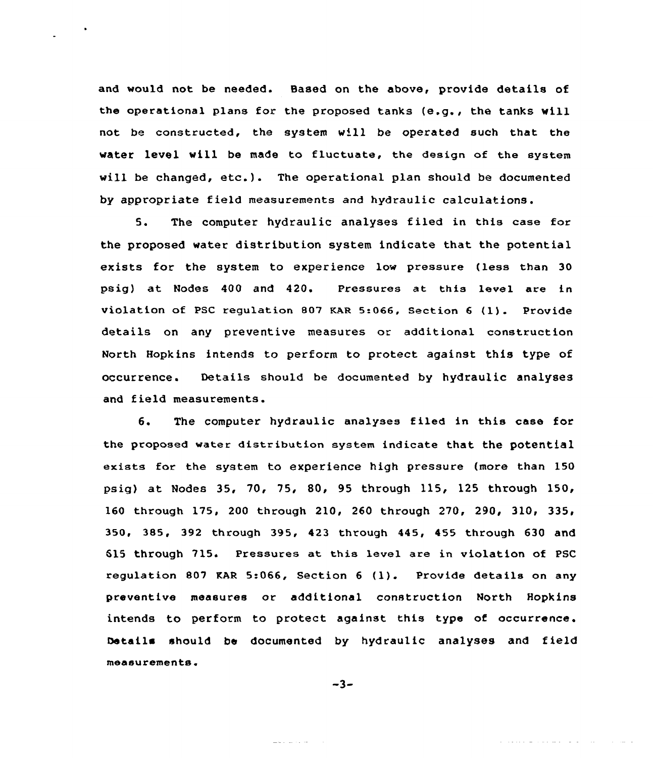and would not be needed. Based on the above, provide details of the operational plans for the proposed tanks (e.g., the tanks will not be constructed, the system will be operated such that the water level will be made to fluctuate, the design of the system will be changed, etc.). The operational plan should be documented by appropriate field measurements and hydraulic calculations.

5. The computer hydraulic analyses filed in this case for the proposed water distribution system indicate that the potential exists for the system to experience low pressure (less than 30 psig) at Nodes 400 and 420. Pressures at this level are in violation of PSC regulation <sup>807</sup> KAR 5.066, Section <sup>6</sup> (1). Provide details on any preventive measures or additional construction North Hopkins intends to perform to protect against this type of occurrence. Details should be documented by hydraulic analyses and field measurements.

6. The computer hydraulic analyses filed in this case for the proposed water distribution system indicate that the potential exists for the system to experience high pressure (more than 150 psig) at Nodes 35, 70, 75, 80, 95 through 115, 125 through 150, 160 through 175, 200 through 210, 260 through 270, 290, 310, 335, 350, 385, 392 through 395, 423 through 445, 455 through 630 and 615 through 715. Pressures at this level are in violation of PSC regulation <sup>807</sup> KAR 5:066, Section <sup>6</sup> (1). Provide details on any preventive measures or additional construction North Hopkins intends to perform to protect against this type of occurrence. Details should be documented by hydraulic analyses and field measurements.

 $-3-$ 

a desenvolver a la provincia del control

mark and a series